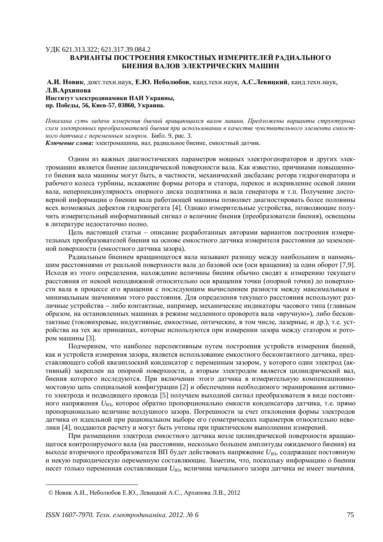## ɍȾɄ 621.313.322; 621.317.39.084.2 ВАРИАНТЫ ПОСТРОЕНИЯ ЕМКОСТНЫХ ИЗМЕРИТЕЛЕЙ РАДИАЛЬНОГО **БИЕНИЯ ВАЛОВ ЭЛЕКТРИЧЕСКИХ МАШИН**

А.И. Новик, докт. техн. наук, Е.Ю. Неболюбов, канд. техн. наук, А.С.Левицкий, канд. техн. наук, **Л.В.Архипова Институт электролинамики НАН Украины. пр. Победы, 56, Киев-57, 03860, Украина.** 

*ɉɨɤɚɡɚɧɚ ɫɭɬɶ ɡɚɞɚɱɢ ɢɡɦɟɪɟɧɢɹ ɛɢɟɧɢɣ ɜɪɚɳɚɸɳɢɯɫɹ ɜɚɥɨɜ ɦɚɲɢɧ. ɉɪɟɞɥɨɠɟɧɵ ɜɚɪɢɚɧɬɵ ɫɬɪɭɤɬɭɪɧɵɯ* схем электронных преобразователей биения при использовании в качестве чувствительного элемента емкостного датчика с переменным зазором. Библ. 9, рис. 3.

Ключевые слова: электромашина, вал, радиальное биение, емкостный датчик.

Одним из важных диагностических параметров мощных электрогенераторов и других электромашин является биение цилиндрической поверхности вала. Как известно, причинами повышенного биения вала машины могут быть, в частности, механический дисбаланс ротора гидрогенератора и рабочего колеса турбины, искажение формы ротора и статора, перекос и искривление осевой линии вала, неперпендикулярность опорного диска подпятника и вала генератора и т.п. Получение достоверной информации о биении вала работающей машины позволяет диагностировать более половины всех возможных дефектов гидроагрегата [4]. Однако измерительные устройства, позволяющие получить измерительный информативный сигнал о величине биения (преобразователи биения), освешены в литературе нелостаточно полно.

Цель настоящей статьи – описание разработанных авторами вариантов построения измерительных преобразователей биения на основе емкостного датчика измерителя расстояния до заземленной поверхности (емкостного датчика зазора).

Радиальным биением вращающегося вала называют разницу между наибольшим и наименьшим расстояниями от реальной поверхности вала до базовой оси (оси врашения) за один оборот [7,9]. Исхоля из этого определения, нахождение величины биения обычно сводят к измерению текущего расстояния от некоей неподвижной относительно оси вращения точки (опорной точки) до поверхности вала в процессе его вращения с последующим вычислением разности между максимальным и минимальным значениями этого расстояния. Для определения текущего расстояния используют различные устройства – либо контактные, например, механические индикаторы часового типа (главным образом, на остановленных машинах в режиме медленного проворота вала «вручную»), либо бесконтактные (токовихревые, индуктивные, емкостные, оптические, в том числе, лазерные, и др.), т.е. устройства на тех же принципах, которые используются при измерении зазора между статором и ротором машины [3].

Подчеркнем, что наиболее перспективным путем построения устройств измерения биений, как и устройств измерения зазора, является использование емкостного бесконтактного датчика, представляющего собой квазиплоский конденсатор с переменным зазором, у которого один электрод (активный) закреплен на опорной поверхности, а вторым электродом является цилиндрический вал, биения которого исследуются. При включении этого датчика в измерительную компенсационномостовую цепь специальной конфигурации [2] и обеспечении необходимого экранирования активного электрода и подводящего провода [5] получаем выходной сигнал преобразователя в виде постоянного напряжения *U*B3, которое обратно пропорционально емкости конденсатора датчика, т.е. прямо пропорционально величине воздушного зазора. Погрешности за счет отклонения формы электродов датчика от идеальной при рациональном выборе его геометрических параметров относительно невелики [4], поддаются расчету и могут быть учтены при практическом выполнении измерений.

При размещении электрода емкостного датчика возле цилиндрической поверхности вращающегося контролируемого вала (на расстоянии, несколько большем амплитуды ожидаемого биения) на выходе вторичного преобразователя ВП будет действовать напряжение  $U_{\text{B3}}$ , содержащее постоянную и некую периодическую переменную составляющие. Заметим, что, поскольку информацию о биении несет только переменная составляющая U<sub>B3</sub>, величина начального зазора датчика не имеет значения.

<sup>©</sup> Новик А.И., Неболюбов Е.Ю., Левицкий А.С., Архипова Л.В., 2012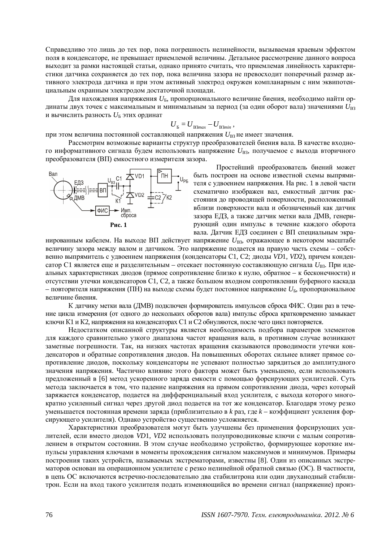Справедливо это лишь до тех пор, пока погрешность нелинейности, вызываемая краевым эффектом поля в конденсаторе, не превышает приемлемой величины. Детальное рассмотрение данного вопроса выходит за рамки настоящей статьи, однако принято считать, что приемлемая линейность характеристики датчика сохраняется до тех пор, пока величина зазора не превосходит поперечный размер активного электрода датчика и при этом активный электрод окружен компланарным с ним эквипотенциальным охранным электродом достаточной площади.

Для нахождения напряжения  $U_{\rm b}$ , пропорционального величине биения, необходимо найти ординаты двух точек с максимальным и минимальным за период (за один оборот вала) значениями  $U_{\text{B3}}$ и вычислить разность  $U_{\rm B}$  этих ординат

$$
U_{\rm B}=U_{\rm B3max}-U_{\rm B3min}\,,
$$

при этом величина постоянной составляющей напряжения  $U_{\text{B3}}$ не имеет значения.

Рассмотрим возможные варианты структур преобразователей биения вала. В качестве входного информативного сигнала будем использовать напряжение  $U_{\text{B3}}$ , получаемое с выхода вторичного преобразователя (ВП) емкостного измерителя зазора.



Простейший преобразователь биений может быть построен на основе известной схемы выпрямителя с удвоением напряжения. На рис. 1 в левой части схематично изображен вал, емкостный датчик расстояния до проводящей поверхности, расположенный вблизи поверхности вала и обозначенный как датчик зазора ЕДЗ, а также датчик метки вала ДМВ, генерирующий один импульс в течение каждого оборота вала. Датчик ЕДЗ соединен с ВП специальным экра-

нированным кабелем. На выходе ВП действует напряжение  $U_{\text{B3}}$ , отражающее в некотором масштабе величину зазора между валом и датчиком. Это напряжение подается на правую часть схемы – собственно выпрямитель с удвоением напряжения (конденсаторы C1, C2; диоды VD1, VD2), причем конденсатор C1 является еще и разделительным – отсекает постоянную составляющую сигнала  $U_{\text{B3}}$ . При идеальных характеристиках диодов (прямое сопротивление близко к нулю, обратное – к бесконечности) и отсутствии утечки конденсаторов C1, C2, а также большом входном сопротивлении буферного каскада – повторителя напряжения (ПН) на выходе схемы будет постоянное напряжение  $U_{\rm b}$ , пропорциональное величине биения.

К датчику метки вала (ДМВ) подключен формирователь импульсов сброса ФИС. Один раз в течение цикла измерения (от одного до нескольких оборотов вала) импульс сброса кратковременно замыкает ключи К1 и К2, напряжения на конденсаторах С1 и С2 обнуляются, после чего цикл повторяется.

Недостатком описанной структуры является необходимость подбора параметров элементов для каждого сравнительно узкого диапазона частот вращения вала, в противном случае возникают заметные погрешности. Так, на низких частотах вращения сказываются проводимости утечки конденсаторов и обратные сопротивления диодов. На повышенных оборотах сильнее влияет прямое сопротивление диодов, поскольку конденсаторы не успевают полностью зарядиться до амплитудного значения напряжения. Частично влияние этого фактора может быть уменьшено, если использовать предложенный в [6] метод ускоренного заряда емкости с помощью форсирующих усилителей. Суть метода заключается в том, что падение напряжения на прямом сопротивлении диода, через который заряжается конденсатор, подается на дифференциальный вход усилителя, с выхода которого многократно усиленный сигнал через другой диод подается на тот же конденсатор. Благодаря этому резко уменьшается постоянная времени заряда (приблизительно в k раз, где k – коэффициент усиления форсирующего усилителя). Однако устройство существенно усложняется.

Характеристики преобразователя могут быть улучшены без применения форсирующих усилителей, если вместо диодов VD1, VD2 использовать полупроводниковые ключи с малым сопротивлением в открытом состоянии. В этом случае необходимо устройство, формирующее короткие импульсы управления ключами в моменты прохождения сигналом максимумов и минимумов. Примеры построения таких устройств, называемых экстрематорами, известны [8]. Один из описанных экстрематоров основан на операционном усилителе с резко нелинейной обратной связью (ОС). В частности, в цепь ОС включаются встречно-последовательно два стабилитрона или один двуханодный стабилитрон. Если на вход такого усилителя подать изменяющийся во времени сигнал (напряжение) произ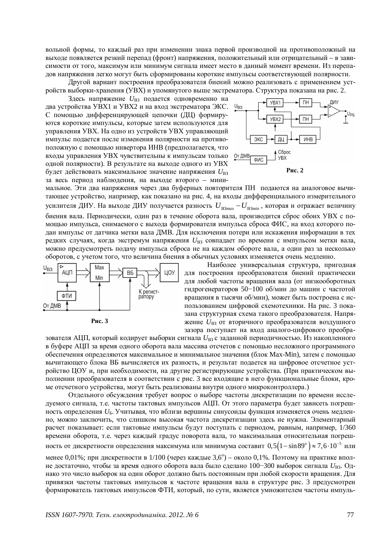вольной формы, то каждый раз при изменении знака первой производной на противоположный на выходе появляется резкий перепад (фронт) напряжения, положительный или отрицательный – в зависимости от того, максимум или минимум сигнала имеет место в данный момент времени. Из перепадов напряжения легко могут быть сформированы короткие импульсы соответствующей полярности.

Другой вариант построения преобразователя биений можно реализовать с применением устройств выборки-хранения (УВХ) и упомянутого выше экстрематора. Структура показана на рис. 2.

Здесь напряжение *U*<sup>B3</sup> подается одновременно на два устройства УВХ1 и УВХ2 и на вход экстрематора ЭКС. С помощью дифференцирующей цепочки (ДЦ) формируются короткие импульсы, которые затем используются для управления УВХ. На одно из устройств УВХ управляющий импульс подается после изменения полярности на противоположную с помощью инвертора ИНВ (предполагается, что входы управления УВХ чувствительны к импульсам только одной полярности). В результате на выходе одного из УВХ будет действовать максимальное значение напряжения  $U_{\rm B3}$ за весь период наблюдения, на выходе второго – мини-



мальное. Эти два напряжения через два буферных повторителя ПН подаются на аналоговое вычитающее устройство, например, как показано на рис. 4, на входы дифференциального измерительного усилителя ДИУ. На выходе ДИУ получается разность  $U_{B3max} - U_{B3min}$ , которая и отражает величину биения вала. Периодически, один раз в течение оборота вала, производится сброс обоих УВХ с помощью импульса, снимаемого с выхода формирователя импульса сброса ФИС, на вход которого подан импульс от датчика метки вала ДМВ. Для исключения потери или искажения информации в тех редких случаях, когда экстремум напряжения  $U_{\text{B3}}$  совпадает по времени с импульсом метки вала, можно предусмотреть подачу импульса сброса не на каждом обороте вала, а один раз за несколько оборотов, с учетом того, что величина биения в обычных условиях изменяется очень медленно.





Наиболее универсальная структура, пригодная для построения преобразователя биений практически для любой частоты вращения вала (от низкооборотных гидрогенераторов 50-100 об/мин до машин с частотой вращения в тысячи об/мин), может быть построена с использованием цифровой схемотехники. На рис. 3 показана структурная схема такого преобразователя. Напряжение *U*<sup>B3</sup> от вторичного преобразователя воздушного зазора поступает на вход аналого-цифрового преобра-

зователя АЦП, который кодирует выборки сигнала  $U_{\mathrm{B3}}$ с заданной периодичностью. Из накопленного в буфере АЦП за время одного оборота вала массива отсчетов с помощью несложного программного обеспечения определяются максимальное и минимальное значения (блок Max-Min), затем с помощью вычитающего блока ВБ вычисляется их разность, и результат подается на цифровое отсчетное устройство ЦОУ и, при необходимости, на другие регистрирующие устройства. (При практическом выполнении преобразователя в соответствии с рис. 3 все входящие в него функциональные блоки, кроме отсчетного устройства, могут быть реализованы внутри одного микроконтроллера.)

Отдельного обсуждения требует вопрос о выборе частоты дискретизации по времени исследуемого сигнала, т.е. частоты тактовых импульсов АЦП. От этого параметра будет зависеть погрешность определения U<sub>Б</sub>. Учитывая, что вблизи вершины синусоиды функция изменяется очень медленно, можно заключить, что слишком высокая частота дискретизации здесь не нужна. Элементарный расчет показывает: если тактовые импульсы будут поступать с периодом, равным, например, 1/360 времени оборота, т.е. через каждый градус поворота вала, то максимальная относительная погрешность от дискретности определения максимума или минимума составит  $0.5 \big( 1 - \sin 89^\circ \big)$   $\approx$   $7.6 \cdot 10^{-5}$  или

менее 0,01%; при дискретности в 1/100 (через каждые 3,6°) – около 0,1%. Поэтому на практике вполне достаточно, чтобы за время одного оборота вала было сделано 100–300 выборок сигнала  $U_{\text{B3}}$ . Однако это число выборок на один оборот должно быть постоянным при любой скорости вращения. Для привязки частоты тактовых импульсов к частоте вращения вала в структуре рис. 3 предусмотрен формирователь тактовых импульсов ФТИ, который, по сути, является умножителем частоты импуль